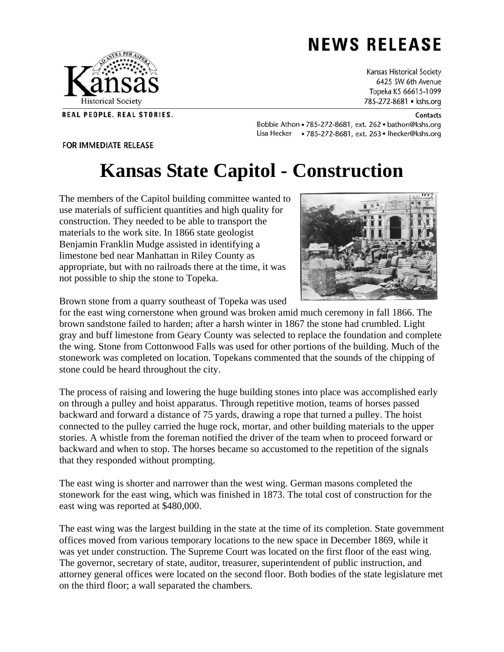## **NEWS RELEASE**

Kansas Historical Society 6425 SW 6th Avenue Topeka KS 66615-1099 785-272-8681 • kshs.org

## **Contacts**

Bobbie Athon . 785-272-8681, ext. 262 . bathon@kshs.org Lisa Hecker • 785-272-8681, ext. 263 • Ihecker@kshs.org

## FOR IMMEDIATE RELEASE

## **Kansas State Capitol - Construction**

The members of the Capitol building committee wanted to use materials of sufficient quantities and high quality for construction. They needed to be able to transport the materials to the work site. In 1866 state geologist Benjamin Franklin Mudge assisted in identifying a limestone bed near Manhattan in Riley County as appropriate, but with no railroads there at the time, it was not possible to ship the stone to Topeka.

Brown stone from a quarry southeast of Topeka was used

for the east wing cornerstone when ground was broken amid much ceremony in fall 1866. The brown sandstone failed to harden; after a harsh winter in 1867 the stone had crumbled. Light gray and buff limestone from Geary County was selected to replace the foundation and complete the wing. Stone from Cottonwood Falls was used for other portions of the building. Much of the stonework was completed on location. Topekans commented that the sounds of the chipping of stone could be heard throughout the city.

The process of raising and lowering the huge building stones into place was accomplished early on through a pulley and hoist apparatus. Through repetitive motion, teams of horses passed backward and forward a distance of 75 yards, drawing a rope that turned a pulley. The hoist connected to the pulley carried the huge rock, mortar, and other building materials to the upper stories. A whistle from the foreman notified the driver of the team when to proceed forward or backward and when to stop. The horses became so accustomed to the repetition of the signals that they responded without prompting.

The east wing is shorter and narrower than the west wing. German masons completed the stonework for the east wing, which was finished in 1873. The total cost of construction for the east wing was reported at \$480,000.

The east wing was the largest building in the state at the time of its completion. State government offices moved from various temporary locations to the new space in December 1869, while it was yet under construction. The Supreme Court was located on the first floor of the east wing. The governor, secretary of state, auditor, treasurer, superintendent of public instruction, and attorney general offices were located on the second floor. Both bodies of the state legislature met on the third floor; a wall separated the chambers.





REAL PEOPLE. REAL STORIES.